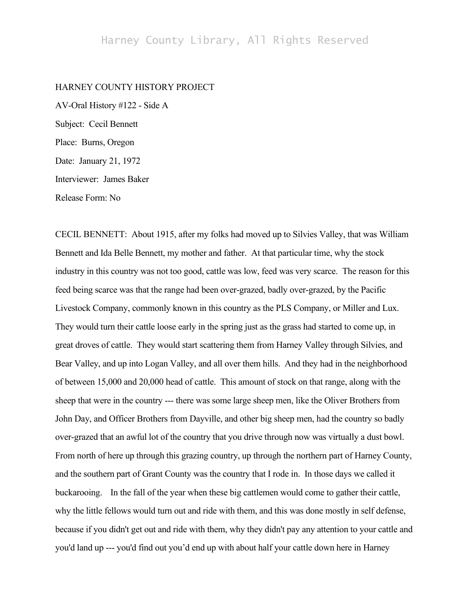## HARNEY COUNTY HISTORY PROJECT

AV-Oral History #122 - Side A Subject: Cecil Bennett Place: Burns, Oregon Date: January 21, 1972 Interviewer: James Baker Release Form: No

CECIL BENNETT: About 1915, after my folks had moved up to Silvies Valley, that was William Bennett and Ida Belle Bennett, my mother and father. At that particular time, why the stock industry in this country was not too good, cattle was low, feed was very scarce. The reason for this feed being scarce was that the range had been over-grazed, badly over-grazed, by the Pacific Livestock Company, commonly known in this country as the PLS Company, or Miller and Lux. They would turn their cattle loose early in the spring just as the grass had started to come up, in great droves of cattle. They would start scattering them from Harney Valley through Silvies, and Bear Valley, and up into Logan Valley, and all over them hills. And they had in the neighborhood of between 15,000 and 20,000 head of cattle. This amount of stock on that range, along with the sheep that were in the country --- there was some large sheep men, like the Oliver Brothers from John Day, and Officer Brothers from Dayville, and other big sheep men, had the country so badly over-grazed that an awful lot of the country that you drive through now was virtually a dust bowl. From north of here up through this grazing country, up through the northern part of Harney County, and the southern part of Grant County was the country that I rode in. In those days we called it buckarooing. In the fall of the year when these big cattlemen would come to gather their cattle, why the little fellows would turn out and ride with them, and this was done mostly in self defense, because if you didn't get out and ride with them, why they didn't pay any attention to your cattle and you'd land up --- you'd find out you'd end up with about half your cattle down here in Harney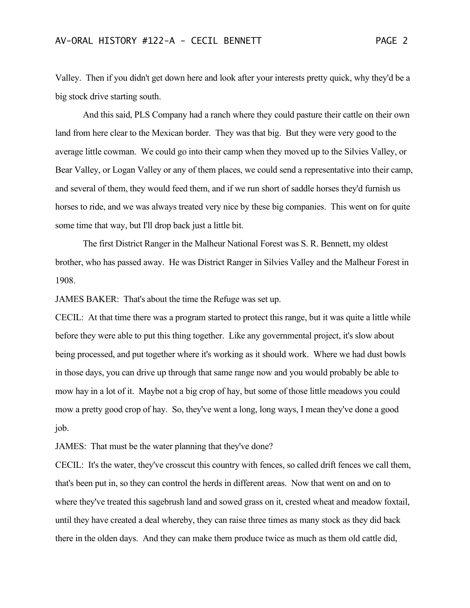Valley. Then if you didn't get down here and look after your interests pretty quick, why they'd be a big stock drive starting south.

And this said, PLS Company had a ranch where they could pasture their cattle on their own land from here clear to the Mexican border. They was that big. But they were very good to the average little cowman. We could go into their camp when they moved up to the Silvies Valley, or Bear Valley, or Logan Valley or any of them places, we could send a representative into their camp, and several of them, they would feed them, and if we run short of saddle horses they'd furnish us horses to ride, and we was always treated very nice by these big companies. This went on for quite some time that way, but I'll drop back just a little bit.

The first District Ranger in the Malheur National Forest was S. R. Bennett, my oldest brother, who has passed away. He was District Ranger in Silvies Valley and the Malheur Forest in 1908.

JAMES BAKER: That's about the time the Refuge was set up.

CECIL: At that time there was a program started to protect this range, but it was quite a little while before they were able to put this thing together. Like any governmental project, it's slow about being processed, and put together where it's working as it should work. Where we had dust bowls in those days, you can drive up through that same range now and you would probably be able to mow hay in a lot of it. Maybe not a big crop of hay, but some of those little meadows you could mow a pretty good crop of hay. So, they've went a long, long ways, I mean they've done a good job.

JAMES: That must be the water planning that they've done?

CECIL: It's the water, they've crosscut this country with fences, so called drift fences we call them, that's been put in, so they can control the herds in different areas. Now that went on and on to where they've treated this sagebrush land and sowed grass on it, crested wheat and meadow foxtail, until they have created a deal whereby, they can raise three times as many stock as they did back there in the olden days. And they can make them produce twice as much as them old cattle did,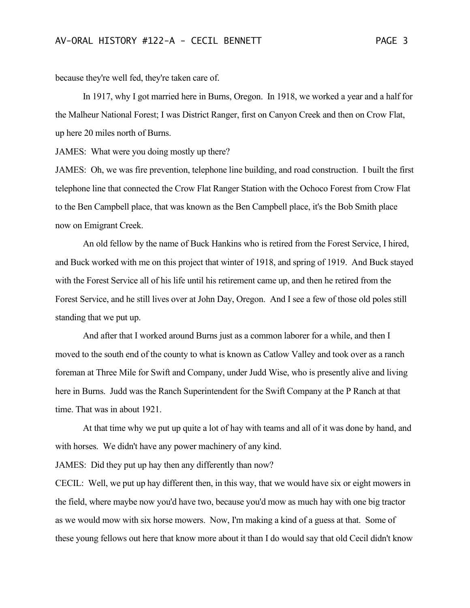because they're well fed, they're taken care of.

In 1917, why I got married here in Burns, Oregon. In 1918, we worked a year and a half for the Malheur National Forest; I was District Ranger, first on Canyon Creek and then on Crow Flat, up here 20 miles north of Burns.

JAMES: What were you doing mostly up there?

JAMES: Oh, we was fire prevention, telephone line building, and road construction. I built the first telephone line that connected the Crow Flat Ranger Station with the Ochoco Forest from Crow Flat to the Ben Campbell place, that was known as the Ben Campbell place, it's the Bob Smith place now on Emigrant Creek.

An old fellow by the name of Buck Hankins who is retired from the Forest Service, I hired, and Buck worked with me on this project that winter of 1918, and spring of 1919. And Buck stayed with the Forest Service all of his life until his retirement came up, and then he retired from the Forest Service, and he still lives over at John Day, Oregon. And I see a few of those old poles still standing that we put up.

And after that I worked around Burns just as a common laborer for a while, and then I moved to the south end of the county to what is known as Catlow Valley and took over as a ranch foreman at Three Mile for Swift and Company, under Judd Wise, who is presently alive and living here in Burns. Judd was the Ranch Superintendent for the Swift Company at the P Ranch at that time. That was in about 1921.

At that time why we put up quite a lot of hay with teams and all of it was done by hand, and with horses. We didn't have any power machinery of any kind.

JAMES: Did they put up hay then any differently than now?

CECIL: Well, we put up hay different then, in this way, that we would have six or eight mowers in the field, where maybe now you'd have two, because you'd mow as much hay with one big tractor as we would mow with six horse mowers. Now, I'm making a kind of a guess at that. Some of these young fellows out here that know more about it than I do would say that old Cecil didn't know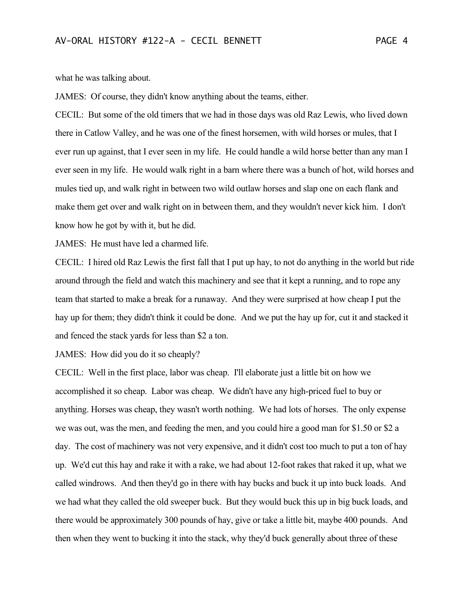what he was talking about.

JAMES: Of course, they didn't know anything about the teams, either.

CECIL: But some of the old timers that we had in those days was old Raz Lewis, who lived down there in Catlow Valley, and he was one of the finest horsemen, with wild horses or mules, that I ever run up against, that I ever seen in my life. He could handle a wild horse better than any man I ever seen in my life. He would walk right in a barn where there was a bunch of hot, wild horses and mules tied up, and walk right in between two wild outlaw horses and slap one on each flank and make them get over and walk right on in between them, and they wouldn't never kick him. I don't know how he got by with it, but he did.

JAMES: He must have led a charmed life.

CECIL: I hired old Raz Lewis the first fall that I put up hay, to not do anything in the world but ride around through the field and watch this machinery and see that it kept a running, and to rope any team that started to make a break for a runaway. And they were surprised at how cheap I put the hay up for them; they didn't think it could be done. And we put the hay up for, cut it and stacked it and fenced the stack yards for less than \$2 a ton.

JAMES: How did you do it so cheaply?

CECIL: Well in the first place, labor was cheap. I'll elaborate just a little bit on how we accomplished it so cheap. Labor was cheap. We didn't have any high-priced fuel to buy or anything. Horses was cheap, they wasn't worth nothing. We had lots of horses. The only expense we was out, was the men, and feeding the men, and you could hire a good man for \$1.50 or \$2 a day. The cost of machinery was not very expensive, and it didn't cost too much to put a ton of hay up. We'd cut this hay and rake it with a rake, we had about 12-foot rakes that raked it up, what we called windrows. And then they'd go in there with hay bucks and buck it up into buck loads. And we had what they called the old sweeper buck. But they would buck this up in big buck loads, and there would be approximately 300 pounds of hay, give or take a little bit, maybe 400 pounds. And then when they went to bucking it into the stack, why they'd buck generally about three of these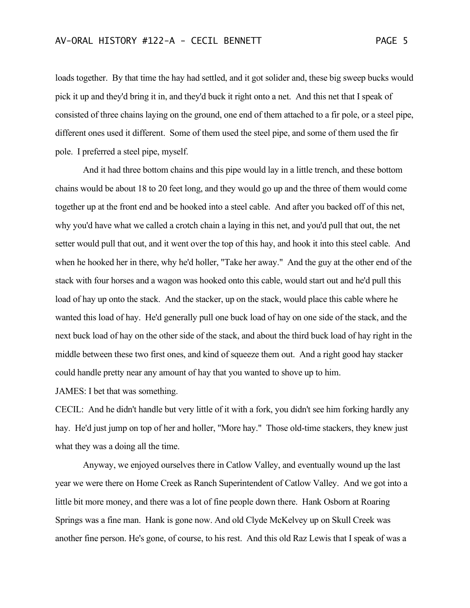loads together. By that time the hay had settled, and it got solider and, these big sweep bucks would pick it up and they'd bring it in, and they'd buck it right onto a net. And this net that I speak of consisted of three chains laying on the ground, one end of them attached to a fir pole, or a steel pipe, different ones used it different. Some of them used the steel pipe, and some of them used the fir pole. I preferred a steel pipe, myself.

And it had three bottom chains and this pipe would lay in a little trench, and these bottom chains would be about 18 to 20 feet long, and they would go up and the three of them would come together up at the front end and be hooked into a steel cable. And after you backed off of this net, why you'd have what we called a crotch chain a laying in this net, and you'd pull that out, the net setter would pull that out, and it went over the top of this hay, and hook it into this steel cable. And when he hooked her in there, why he'd holler, "Take her away." And the guy at the other end of the stack with four horses and a wagon was hooked onto this cable, would start out and he'd pull this load of hay up onto the stack. And the stacker, up on the stack, would place this cable where he wanted this load of hay. He'd generally pull one buck load of hay on one side of the stack, and the next buck load of hay on the other side of the stack, and about the third buck load of hay right in the middle between these two first ones, and kind of squeeze them out. And a right good hay stacker could handle pretty near any amount of hay that you wanted to shove up to him.

JAMES: I bet that was something.

CECIL: And he didn't handle but very little of it with a fork, you didn't see him forking hardly any hay. He'd just jump on top of her and holler, "More hay." Those old-time stackers, they knew just what they was a doing all the time.

Anyway, we enjoyed ourselves there in Catlow Valley, and eventually wound up the last year we were there on Home Creek as Ranch Superintendent of Catlow Valley. And we got into a little bit more money, and there was a lot of fine people down there. Hank Osborn at Roaring Springs was a fine man. Hank is gone now. And old Clyde McKelvey up on Skull Creek was another fine person. He's gone, of course, to his rest. And this old Raz Lewis that I speak of was a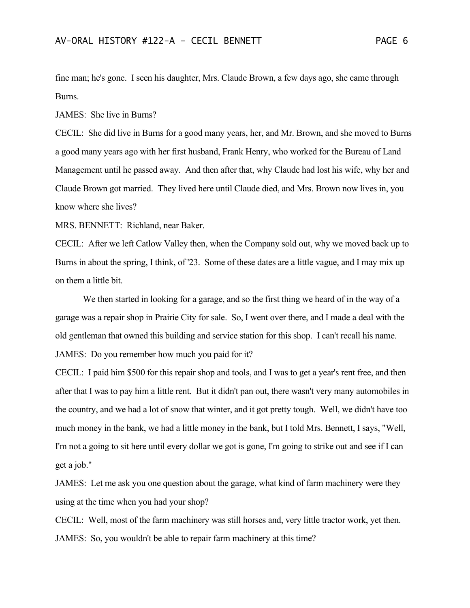fine man; he's gone. I seen his daughter, Mrs. Claude Brown, a few days ago, she came through Burns.

JAMES: She live in Burns?

CECIL: She did live in Burns for a good many years, her, and Mr. Brown, and she moved to Burns a good many years ago with her first husband, Frank Henry, who worked for the Bureau of Land Management until he passed away. And then after that, why Claude had lost his wife, why her and Claude Brown got married. They lived here until Claude died, and Mrs. Brown now lives in, you know where she lives?

MRS. BENNETT: Richland, near Baker.

CECIL: After we left Catlow Valley then, when the Company sold out, why we moved back up to Burns in about the spring, I think, of '23. Some of these dates are a little vague, and I may mix up on them a little bit.

We then started in looking for a garage, and so the first thing we heard of in the way of a garage was a repair shop in Prairie City for sale. So, I went over there, and I made a deal with the old gentleman that owned this building and service station for this shop. I can't recall his name. JAMES: Do you remember how much you paid for it?

CECIL: I paid him \$500 for this repair shop and tools, and I was to get a year's rent free, and then after that I was to pay him a little rent. But it didn't pan out, there wasn't very many automobiles in the country, and we had a lot of snow that winter, and it got pretty tough. Well, we didn't have too much money in the bank, we had a little money in the bank, but I told Mrs. Bennett, I says, "Well, I'm not a going to sit here until every dollar we got is gone, I'm going to strike out and see if I can get a job."

JAMES: Let me ask you one question about the garage, what kind of farm machinery were they using at the time when you had your shop?

CECIL: Well, most of the farm machinery was still horses and, very little tractor work, yet then. JAMES: So, you wouldn't be able to repair farm machinery at this time?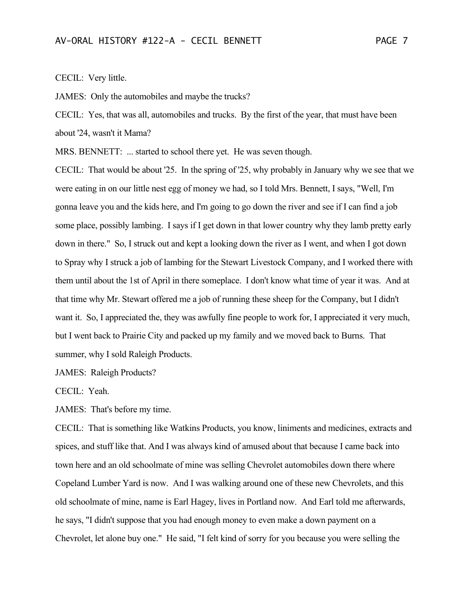CECIL: Very little.

JAMES: Only the automobiles and maybe the trucks?

CECIL: Yes, that was all, automobiles and trucks. By the first of the year, that must have been about '24, wasn't it Mama?

MRS. BENNETT: ... started to school there yet. He was seven though.

CECIL: That would be about '25. In the spring of '25, why probably in January why we see that we were eating in on our little nest egg of money we had, so I told Mrs. Bennett, I says, "Well, I'm gonna leave you and the kids here, and I'm going to go down the river and see if I can find a job some place, possibly lambing. I says if I get down in that lower country why they lamb pretty early down in there." So, I struck out and kept a looking down the river as I went, and when I got down to Spray why I struck a job of lambing for the Stewart Livestock Company, and I worked there with them until about the 1st of April in there someplace. I don't know what time of year it was. And at that time why Mr. Stewart offered me a job of running these sheep for the Company, but I didn't want it. So, I appreciated the, they was awfully fine people to work for, I appreciated it very much, but I went back to Prairie City and packed up my family and we moved back to Burns. That summer, why I sold Raleigh Products.

JAMES: Raleigh Products?

CECIL: Yeah.

JAMES: That's before my time.

CECIL: That is something like Watkins Products, you know, liniments and medicines, extracts and spices, and stuff like that. And I was always kind of amused about that because I came back into town here and an old schoolmate of mine was selling Chevrolet automobiles down there where Copeland Lumber Yard is now. And I was walking around one of these new Chevrolets, and this old schoolmate of mine, name is Earl Hagey, lives in Portland now. And Earl told me afterwards, he says, "I didn't suppose that you had enough money to even make a down payment on a Chevrolet, let alone buy one." He said, "I felt kind of sorry for you because you were selling the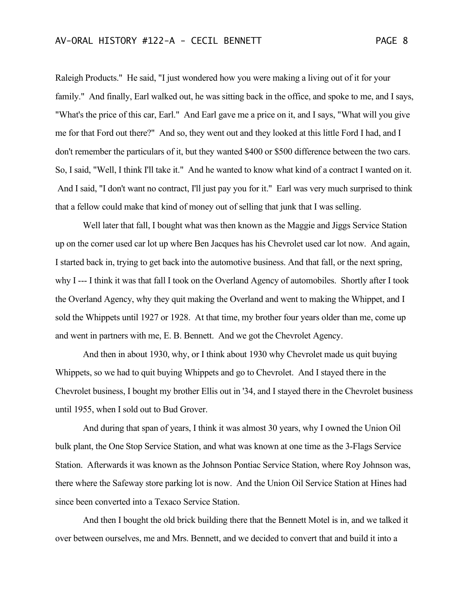## AV-ORAL HISTORY #122-A - CECIL BENNETT PAGE 8

Raleigh Products." He said, "I just wondered how you were making a living out of it for your family." And finally, Earl walked out, he was sitting back in the office, and spoke to me, and I says, "What's the price of this car, Earl." And Earl gave me a price on it, and I says, "What will you give me for that Ford out there?" And so, they went out and they looked at this little Ford I had, and I don't remember the particulars of it, but they wanted \$400 or \$500 difference between the two cars. So, I said, "Well, I think I'll take it." And he wanted to know what kind of a contract I wanted on it. And I said, "I don't want no contract, I'll just pay you for it." Earl was very much surprised to think that a fellow could make that kind of money out of selling that junk that I was selling.

Well later that fall, I bought what was then known as the Maggie and Jiggs Service Station up on the corner used car lot up where Ben Jacques has his Chevrolet used car lot now. And again, I started back in, trying to get back into the automotive business. And that fall, or the next spring, why I --- I think it was that fall I took on the Overland Agency of automobiles. Shortly after I took the Overland Agency, why they quit making the Overland and went to making the Whippet, and I sold the Whippets until 1927 or 1928. At that time, my brother four years older than me, come up and went in partners with me, E. B. Bennett. And we got the Chevrolet Agency.

And then in about 1930, why, or I think about 1930 why Chevrolet made us quit buying Whippets, so we had to quit buying Whippets and go to Chevrolet. And I stayed there in the Chevrolet business, I bought my brother Ellis out in '34, and I stayed there in the Chevrolet business until 1955, when I sold out to Bud Grover.

And during that span of years, I think it was almost 30 years, why I owned the Union Oil bulk plant, the One Stop Service Station, and what was known at one time as the 3-Flags Service Station. Afterwards it was known as the Johnson Pontiac Service Station, where Roy Johnson was, there where the Safeway store parking lot is now. And the Union Oil Service Station at Hines had since been converted into a Texaco Service Station.

And then I bought the old brick building there that the Bennett Motel is in, and we talked it over between ourselves, me and Mrs. Bennett, and we decided to convert that and build it into a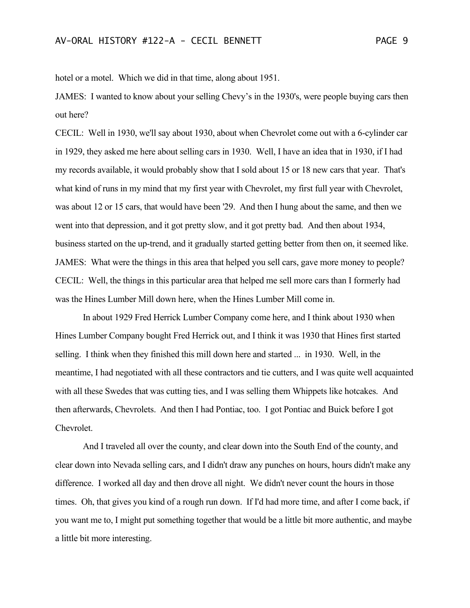hotel or a motel. Which we did in that time, along about 1951.

JAMES: I wanted to know about your selling Chevy's in the 1930's, were people buying cars then out here?

CECIL: Well in 1930, we'll say about 1930, about when Chevrolet come out with a 6-cylinder car in 1929, they asked me here about selling cars in 1930. Well, I have an idea that in 1930, if I had my records available, it would probably show that I sold about 15 or 18 new cars that year. That's what kind of runs in my mind that my first year with Chevrolet, my first full year with Chevrolet, was about 12 or 15 cars, that would have been '29. And then I hung about the same, and then we went into that depression, and it got pretty slow, and it got pretty bad. And then about 1934, business started on the up-trend, and it gradually started getting better from then on, it seemed like. JAMES: What were the things in this area that helped you sell cars, gave more money to people? CECIL: Well, the things in this particular area that helped me sell more cars than I formerly had was the Hines Lumber Mill down here, when the Hines Lumber Mill come in.

In about 1929 Fred Herrick Lumber Company come here, and I think about 1930 when Hines Lumber Company bought Fred Herrick out, and I think it was 1930 that Hines first started selling. I think when they finished this mill down here and started ... in 1930. Well, in the meantime, I had negotiated with all these contractors and tie cutters, and I was quite well acquainted with all these Swedes that was cutting ties, and I was selling them Whippets like hotcakes. And then afterwards, Chevrolets. And then I had Pontiac, too. I got Pontiac and Buick before I got Chevrolet.

And I traveled all over the county, and clear down into the South End of the county, and clear down into Nevada selling cars, and I didn't draw any punches on hours, hours didn't make any difference. I worked all day and then drove all night. We didn't never count the hours in those times. Oh, that gives you kind of a rough run down. If I'd had more time, and after I come back, if you want me to, I might put something together that would be a little bit more authentic, and maybe a little bit more interesting.